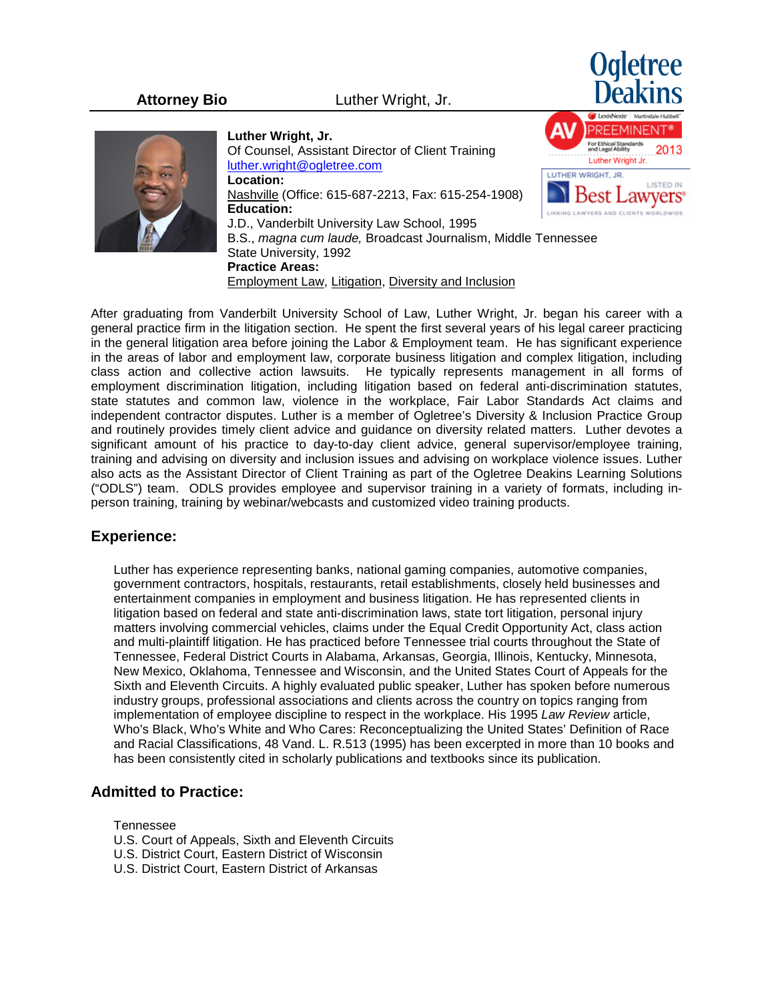**Attorney Bio** Luther Wright, Jr.





**Luther Wright, Jr.** Of Counsel, Assistant Director of Client Training [luther.wright@ogletree.com](mailto:luther.wright@ogletree.com) **Location:**  Nashville (Office: 615-687-2213, Fax: 615-254-1908) **Education:** LINKING LAWYERS AND CLIENTS V J.D., Vanderbilt University Law School, 1995 B.S., *magna cum laude,* Broadcast Journalism, Middle Tennessee State University, 1992 **Practice Areas:** Employment Law, Litigation, Diversity and Inclusion

After graduating from Vanderbilt University School of Law, Luther Wright, Jr. began his career with a general practice firm in the litigation section. He spent the first several years of his legal career practicing in the general litigation area before joining the Labor & Employment team. He has significant experience in the areas of labor and employment law, corporate business litigation and complex litigation, including class action and collective action lawsuits. He typically represents management in all forms of employment discrimination litigation, including litigation based on federal anti-discrimination statutes, state statutes and common law, violence in the workplace, Fair Labor Standards Act claims and independent contractor disputes. Luther is a member of Ogletree's Diversity & Inclusion Practice Group and routinely provides timely client advice and guidance on diversity related matters. Luther devotes a significant amount of his practice to day-to-day client advice, general supervisor/employee training, training and advising on diversity and inclusion issues and advising on workplace violence issues. Luther also acts as the Assistant Director of Client Training as part of the Ogletree Deakins Learning Solutions ("ODLS") team. ODLS provides employee and supervisor training in a variety of formats, including inperson training, training by webinar/webcasts and customized video training products.

## **Experience:**

Luther has experience representing banks, national gaming companies, automotive companies, government contractors, hospitals, restaurants, retail establishments, closely held businesses and entertainment companies in employment and business litigation. He has represented clients in litigation based on federal and state anti-discrimination laws, state tort litigation, personal injury matters involving commercial vehicles, claims under the Equal Credit Opportunity Act, class action and multi-plaintiff litigation. He has practiced before Tennessee trial courts throughout the State of Tennessee, Federal District Courts in Alabama, Arkansas, Georgia, Illinois, Kentucky, Minnesota, New Mexico, Oklahoma, Tennessee and Wisconsin, and the United States Court of Appeals for the Sixth and Eleventh Circuits. A highly evaluated public speaker, Luther has spoken before numerous industry groups, professional associations and clients across the country on topics ranging from implementation of employee discipline to respect in the workplace. His 1995 *Law Review* article, Who's Black, Who's White and Who Cares: Reconceptualizing the United States' Definition of Race and Racial Classifications, 48 Vand. L. R.513 (1995) has been excerpted in more than 10 books and has been consistently cited in scholarly publications and textbooks since its publication.

## **Admitted to Practice:**

Tennessee

- U.S. Court of Appeals, Sixth and Eleventh Circuits
- U.S. District Court, Eastern District of Wisconsin
- U.S. District Court, Eastern District of Arkansas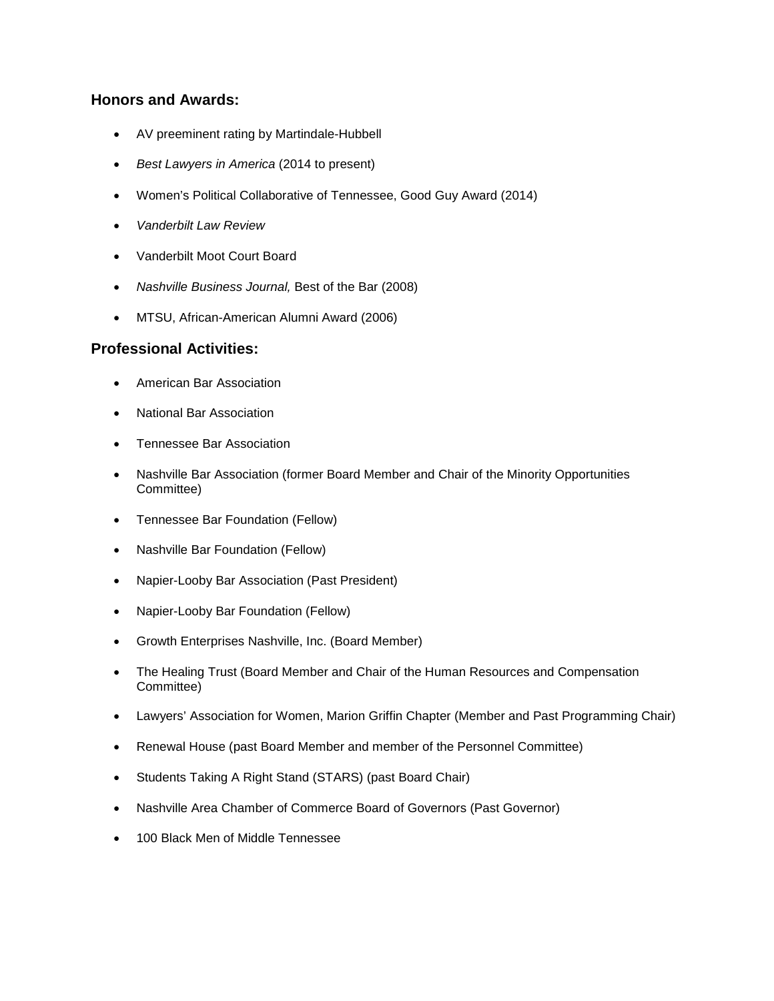# **Honors and Awards:**

- AV preeminent rating by Martindale-Hubbell
- *Best Lawyers in America* (2014 to present)
- Women's Political Collaborative of Tennessee, Good Guy Award (2014)
- *Vanderbilt Law Review*
- Vanderbilt Moot Court Board
- *Nashville Business Journal,* Best of the Bar (2008)
- MTSU, African-American Alumni Award (2006)

# **Professional Activities:**

- American Bar Association
- National Bar Association
- Tennessee Bar Association
- Nashville Bar Association (former Board Member and Chair of the Minority Opportunities Committee)
- Tennessee Bar Foundation (Fellow)
- Nashville Bar Foundation (Fellow)
- Napier-Looby Bar Association (Past President)
- Napier-Looby Bar Foundation (Fellow)
- Growth Enterprises Nashville, Inc. (Board Member)
- The Healing Trust (Board Member and Chair of the Human Resources and Compensation Committee)
- Lawyers' Association for Women, Marion Griffin Chapter (Member and Past Programming Chair)
- Renewal House (past Board Member and member of the Personnel Committee)
- Students Taking A Right Stand (STARS) (past Board Chair)
- Nashville Area Chamber of Commerce Board of Governors (Past Governor)
- 100 Black Men of Middle Tennessee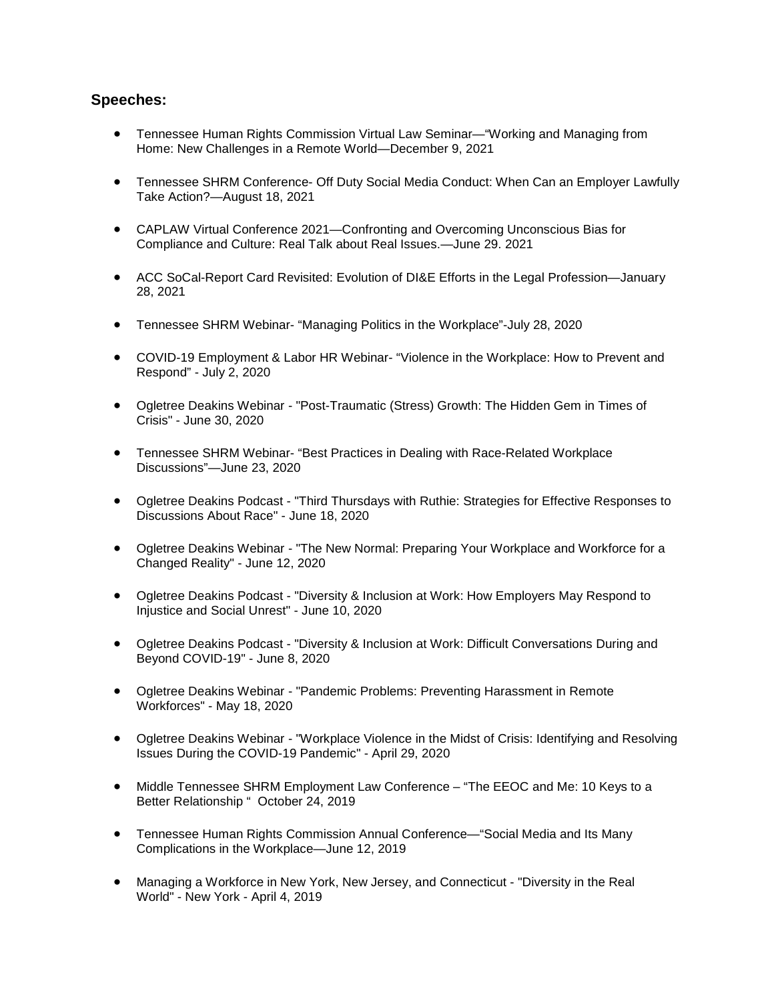# **Speeches:**

- Tennessee Human Rights Commission Virtual Law Seminar—"Working and Managing from Home: New Challenges in a Remote World—December 9, 2021
- Tennessee SHRM Conference- Off Duty Social Media Conduct: When Can an Employer Lawfully Take Action?—August 18, 2021
- CAPLAW Virtual Conference 2021—Confronting and Overcoming Unconscious Bias for Compliance and Culture: Real Talk about Real Issues.—June 29. 2021
- ACC SoCal-Report Card Revisited: Evolution of DI&E Efforts in the Legal Profession—January 28, 2021
- Tennessee SHRM Webinar- "Managing Politics in the Workplace"-July 28, 2020
- COVID-19 Employment & Labor HR Webinar- "Violence in the Workplace: How to Prevent and Respond" - July 2, 2020
- Ogletree Deakins Webinar "Post-Traumatic (Stress) Growth: The Hidden Gem in Times of Crisis" - June 30, 2020
- Tennessee SHRM Webinar- "Best Practices in Dealing with Race-Related Workplace Discussions"—June 23, 2020
- Ogletree Deakins Podcast "Third Thursdays with Ruthie: Strategies for Effective Responses to Discussions About Race" - June 18, 2020
- Ogletree Deakins Webinar "The New Normal: Preparing Your Workplace and Workforce for a Changed Reality" - June 12, 2020
- Ogletree Deakins Podcast "Diversity & Inclusion at Work: How Employers May Respond to Injustice and Social Unrest" - June 10, 2020
- Ogletree Deakins Podcast "Diversity & Inclusion at Work: Difficult Conversations During and Beyond COVID-19" - June 8, 2020
- Ogletree Deakins Webinar "Pandemic Problems: Preventing Harassment in Remote Workforces" - May 18, 2020
- Ogletree Deakins Webinar "Workplace Violence in the Midst of Crisis: Identifying and Resolving Issues During the COVID-19 Pandemic" - April 29, 2020
- Middle Tennessee SHRM Employment Law Conference "The EEOC and Me: 10 Keys to a Better Relationship " October 24, 2019
- Tennessee Human Rights Commission Annual Conference—"Social Media and Its Many Complications in the Workplace—June 12, 2019
- Managing a Workforce in New York, New Jersey, and Connecticut "Diversity in the Real World" - New York - April 4, 2019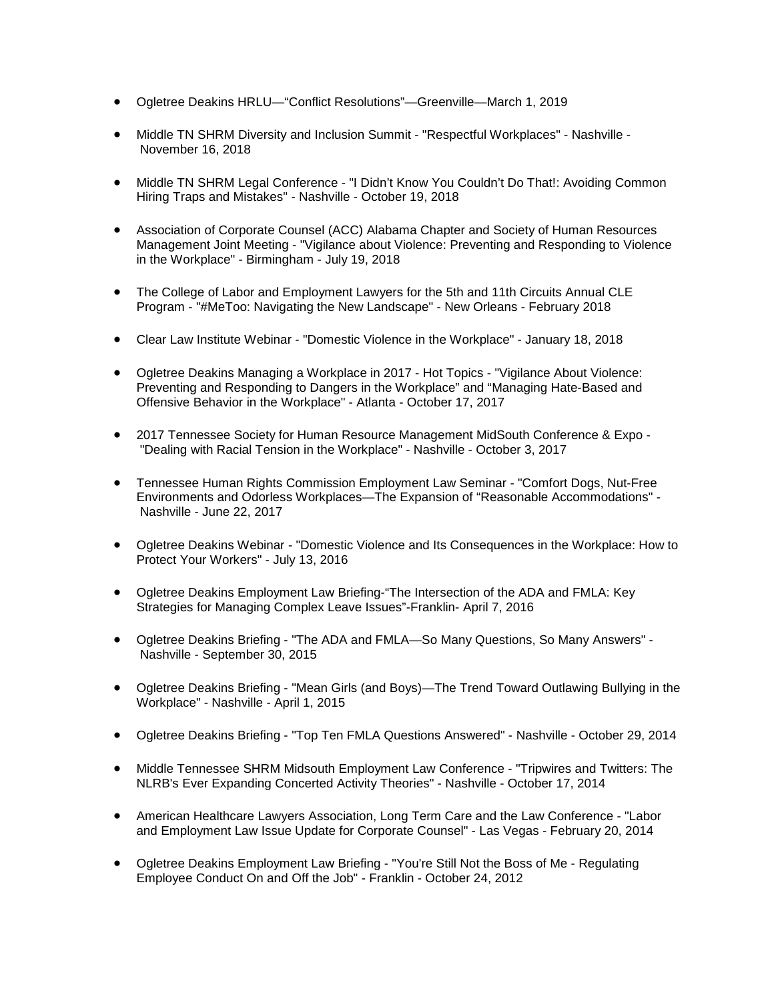- Ogletree Deakins HRLU—"Conflict Resolutions"—Greenville—March 1, 2019
- Middle TN SHRM Diversity and Inclusion Summit "Respectful Workplaces" Nashville November 16, 2018
- Middle TN SHRM Legal Conference "I Didn't Know You Couldn't Do That!: Avoiding Common Hiring Traps and Mistakes" - Nashville - October 19, 2018
- Association of Corporate Counsel (ACC) Alabama Chapter and Society of Human Resources Management Joint Meeting - "Vigilance about Violence: Preventing and Responding to Violence in the Workplace" - Birmingham - July 19, 2018
- The College of Labor and Employment Lawyers for the 5th and 11th Circuits Annual CLE Program - "#MeToo: Navigating the New Landscape" - New Orleans - February 2018
- Clear Law Institute Webinar "Domestic Violence in the Workplace" January 18, 2018
- Ogletree Deakins Managing a Workplace in 2017 Hot Topics "Vigilance About Violence: Preventing and Responding to Dangers in the Workplace" and "Managing Hate-Based and Offensive Behavior in the Workplace" - Atlanta - October 17, 2017
- 2017 Tennessee Society for Human Resource Management MidSouth Conference & Expo "Dealing with Racial Tension in the Workplace" - Nashville - October 3, 2017
- Tennessee Human Rights Commission Employment Law Seminar "Comfort Dogs, Nut-Free Environments and Odorless Workplaces—The Expansion of "Reasonable Accommodations" - Nashville - June 22, 2017
- Ogletree Deakins Webinar "Domestic Violence and Its Consequences in the Workplace: How to Protect Your Workers" - July 13, 2016
- Ogletree Deakins Employment Law Briefing-"The Intersection of the ADA and FMLA: Key Strategies for Managing Complex Leave Issues"-Franklin- April 7, 2016
- Ogletree Deakins Briefing "The ADA and FMLA—So Many Questions, So Many Answers" Nashville - September 30, 2015
- Ogletree Deakins Briefing "Mean Girls (and Boys)—The Trend Toward Outlawing Bullying in the Workplace" - Nashville - April 1, 2015
- Ogletree Deakins Briefing "Top Ten FMLA Questions Answered" Nashville October 29, 2014
- Middle Tennessee SHRM Midsouth Employment Law Conference "Tripwires and Twitters: The NLRB's Ever Expanding Concerted Activity Theories" - Nashville - October 17, 2014
- American Healthcare Lawyers Association, Long Term Care and the Law Conference "Labor and Employment Law Issue Update for Corporate Counsel" - Las Vegas - February 20, 2014
- Ogletree Deakins Employment Law Briefing "You're Still Not the Boss of Me Regulating Employee Conduct On and Off the Job" - Franklin - October 24, 2012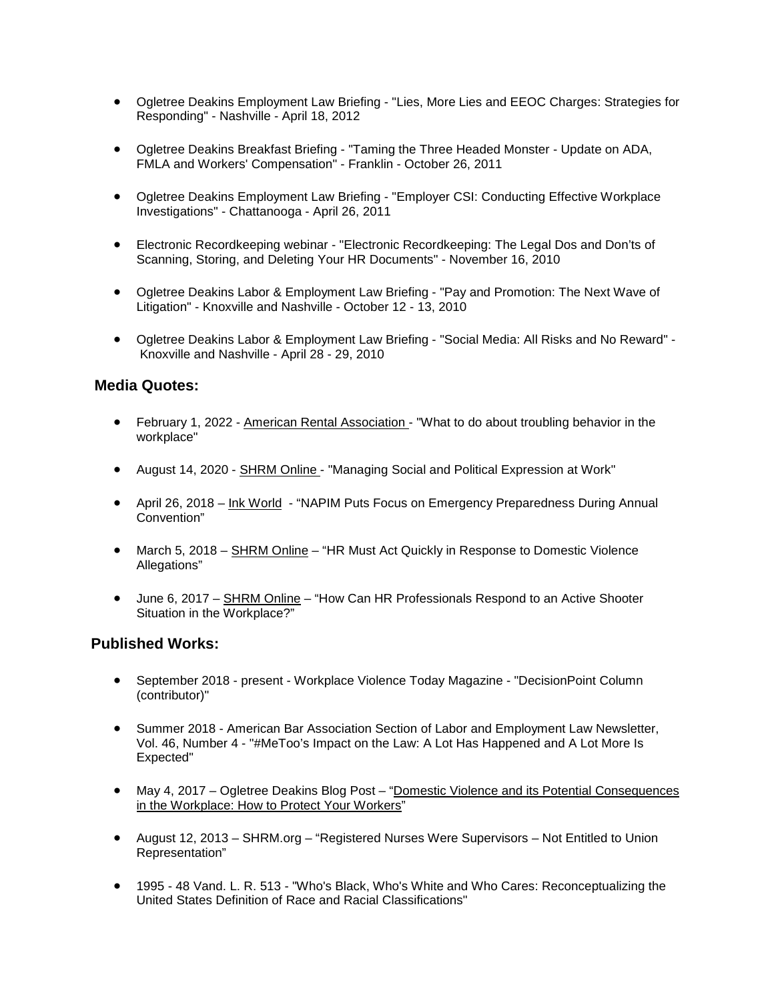- Ogletree Deakins Employment Law Briefing "Lies, More Lies and EEOC Charges: Strategies for Responding" - Nashville - April 18, 2012
- Ogletree Deakins Breakfast Briefing "Taming the Three Headed Monster Update on ADA, FMLA and Workers' Compensation" - Franklin - October 26, 2011
- Ogletree Deakins Employment Law Briefing "Employer CSI: Conducting Effective Workplace Investigations" - Chattanooga - April 26, 2011
- Electronic Recordkeeping webinar "Electronic Recordkeeping: The Legal Dos and Don'ts of Scanning, Storing, and Deleting Your HR Documents" - November 16, 2010
- Ogletree Deakins Labor & Employment Law Briefing "Pay and Promotion: The Next Wave of Litigation" - Knoxville and Nashville - October 12 - 13, 2010
- Ogletree Deakins Labor & Employment Law Briefing "Social Media: All Risks and No Reward" Knoxville and Nashville - April 28 - 29, 2010

#### **Media Quotes:**

- February 1, 2022 American Rental Association "What to do about troubling behavior in the workplace"
- August 14, 2020 SHRM Online "Managing Social and Political Expression at Work"
- April 26, 2018 Ink World "NAPIM Puts Focus on Emergency Preparedness During Annual Convention"
- March 5, 2018 SHRM Online "HR Must Act Quickly in Response to Domestic Violence Allegations"
- June 6, 2017 SHRM Online "How Can HR Professionals Respond to an Active Shooter Situation in the Workplace?"

#### **Published Works:**

- September 2018 present Workplace Violence Today Magazine "DecisionPoint Column (contributor)"
- Summer 2018 American Bar Association Section of Labor and Employment Law Newsletter, Vol. 46, Number 4 - "#MeToo's Impact on the Law: A Lot Has Happened and A Lot More Is Expected"
- May 4, 2017 Ogletree Deakins Blog Post "Domestic Violence and its Potential Consequences in the Workplace: How to Protect Your Workers"
- August 12, 2013 SHRM.org "Registered Nurses Were Supervisors Not Entitled to Union Representation"
- 1995 48 Vand. L. R. 513 "Who's Black, Who's White and Who Cares: Reconceptualizing the United States Definition of Race and Racial Classifications"